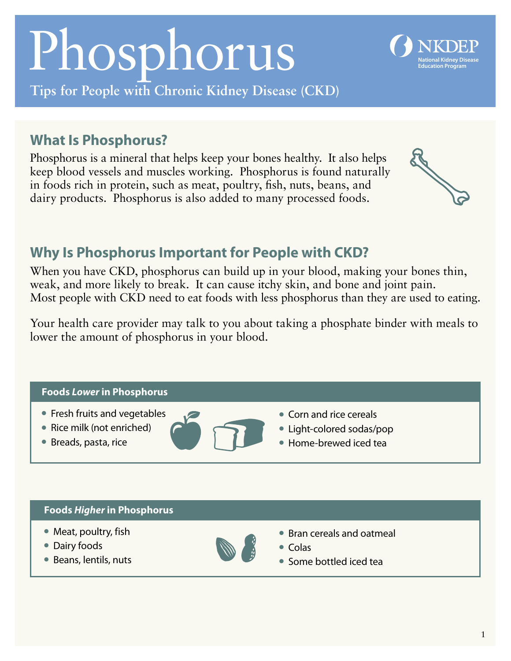# Phosphorus

**Tips for People with Chronic Kidney Disease (CKD)** 

## **What Is Phosphorus?**

Phosphorus is a mineral that helps keep your bones healthy. It also helps keep blood vessels and muscles working. Phosphorus is found naturally in foods rich in protein, such as meat, poultry, fish, nuts, beans, and dairy products. Phosphorus is also added to many processed foods.

## **Why Is Phosphorus Important for People with CKD?**

When you have CKD, phosphorus can build up in your blood, making your bones thin, weak, and more likely to break. It can cause itchy skin, and bone and joint pain. Most people with CKD need to eat foods with less phosphorus than they are used to eating.

Your health care provider may talk to you about taking a phosphate binder with meals to lower the amount of phosphorus in your blood.



- Fresh fruits and vegetables **laterated** Corn and rice cereals
- 
- 



- 
- Rice milk (not enriched) **lateration of the Conomic State of the Light-colored sodas/pop**
- Breads, pasta, rice **lateral Home-brewed iced tea**

#### **Foods** *Higher* **in Phosphorus**

- 
- Dairy foods and Colas and Colas and Colas and Colas and Colas and Colas and Colas and Colas and Colas and Colas and Colas and Colas and Colas and Colas and Colas and Colas and Colas and Colas and Colas and Colas and Cola
- 



- Meat, poultry, fish l Bran cereals and oatmeal
	-
- Beans, lentils, nuts l Some bottled iced tea